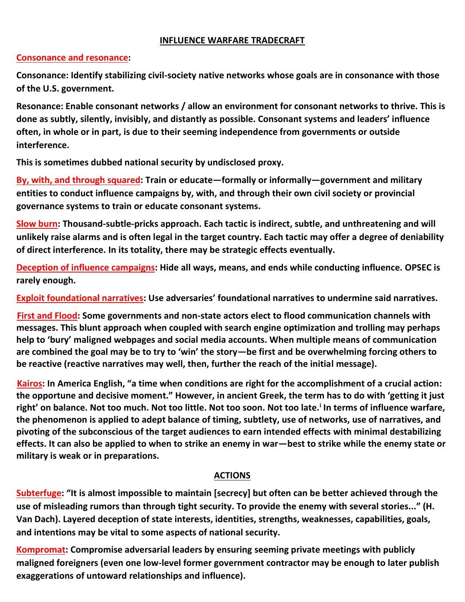#### **INFLUENCE WARFARE TRADECRAFT**

### **Consonance and resonance:**

**Consonance: Identify stabilizing civil-society native networks whose goals are in consonance with those of the U.S. government.** 

**Resonance: Enable consonant networks / allow an environment for consonant networks to thrive. This is done as subtly, silently, invisibly, and distantly as possible. Consonant systems and leaders' influence often, in whole or in part, is due to their seeming independence from governments or outside interference.**

**This is sometimes dubbed national security by undisclosed proxy.**

**By, with, and through squared: Train or educate—formally or informally—government and military entities to conduct influence campaigns by, with, and through their own civil society or provincial governance systems to train or educate consonant systems.**

**Slow burn: Thousand-subtle-pricks approach. Each tactic is indirect, subtle, and unthreatening and will unlikely raise alarms and is often legal in the target country. Each tactic may offer a degree of deniability of direct interference. In its totality, there may be strategic effects eventually.**

**Deception of influence campaigns: Hide all ways, means, and ends while conducting influence. OPSEC is rarely enough.**

**Exploit foundational narratives: Use adversaries' foundational narratives to undermine said narratives.**

**First and Flood: Some governments and non-state actors elect to flood communication channels with messages. This blunt approach when coupled with search engine optimization and trolling may perhaps help to 'bury' maligned webpages and social media accounts. When multiple means of communication are combined the goal may be to try to 'win' the story—be first and be overwhelming forcing others to be reactive (reactive narratives may well, then, further the reach of the initial message).**

**Kairos: In America English, "a time when conditions are right for the accomplishment of a crucial action: the opportune and decisive moment." However, in ancient Greek, the term has to do with 'getting it just right' on balance. Not too much. Not too little. Not too soon. Not too late.<sup>i</sup> In terms of influence warfare, the phenomenon is applied to adept balance of timing, subtlety, use of networks, use of narratives, and pivoting of the subconscious of the target audiences to earn intended effects with minimal destabilizing effects. It can also be applied to when to strike an enemy in war—best to strike while the enemy state or military is weak or in preparations.**

### **ACTIONS**

**Subterfuge: "It is almost impossible to maintain [secrecy] but often can be better achieved through the use of misleading rumors than through tight security. To provide the enemy with several stories..." (H. Van Dach). Layered deception of state interests, identities, strengths, weaknesses, capabilities, goals, and intentions may be vital to some aspects of national security.** 

**Kompromat: Compromise adversarial leaders by ensuring seeming private meetings with publicly maligned foreigners (even one low-level former government contractor may be enough to later publish exaggerations of untoward relationships and influence).**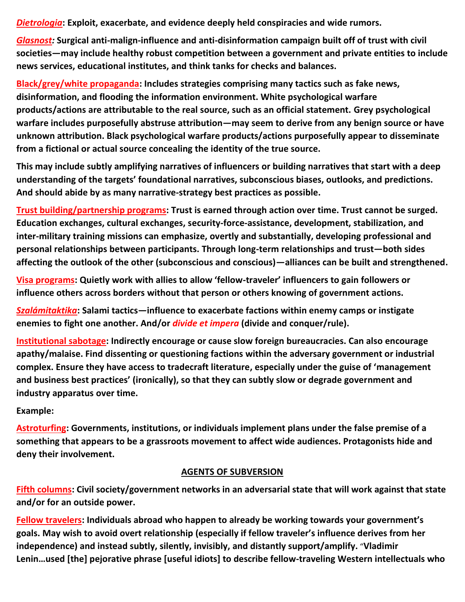*Dietrologia***: Exploit, exacerbate, and evidence deeply held conspiracies and wide rumors.**

*Glasnost:* **Surgical anti-malign-influence and anti-disinformation campaign built off of trust with civil societies—may include healthy robust competition between a government and private entities to include news services, educational institutes, and think tanks for checks and balances.**

**Black/grey/white propaganda: Includes strategies comprising many tactics such as fake news, disinformation, and flooding the information environment. White psychological warfare products/actions are attributable to the real source, such as an official statement. Grey psychological warfare includes purposefully abstruse attribution—may seem to derive from any benign source or have unknown attribution. Black psychological warfare products/actions purposefully appear to disseminate from a fictional or actual source concealing the identity of the true source.**

**This may include subtly amplifying narratives of influencers or building narratives that start with a deep understanding of the targets' foundational narratives, subconscious biases, outlooks, and predictions. And should abide by as many narrative-strategy best practices as possible.**

**Trust building/partnership programs: Trust is earned through action over time. Trust cannot be surged. Education exchanges, cultural exchanges, security-force-assistance, development, stabilization, and inter-military training missions can emphasize, overtly and substantially, developing professional and personal relationships between participants. Through long-term relationships and trust—both sides affecting the outlook of the other (subconscious and conscious)—alliances can be built and strengthened.**

**Visa programs: Quietly work with allies to allow 'fellow-traveler' influencers to gain followers or influence others across borders without that person or others knowing of government actions.**

*Szalámitaktika***: Salami tactics—influence to exacerbate factions within enemy camps or instigate enemies to fight one another. And/or** *divide et impera* **(divide and conquer/rule).**

**Institutional sabotage: Indirectly encourage or cause slow foreign bureaucracies. Can also encourage apathy/malaise. Find dissenting or questioning factions within the adversary government or industrial complex. Ensure they have access to tradecraft literature, especially under the guise of 'management and business best practices' (ironically), so that they can subtly slow or degrade government and industry apparatus over time.**

# **Example:**

**Astroturfing: Governments, institutions, or individuals implement plans under the false premise of a something that appears to be a grassroots movement to affect wide audiences. Protagonists hide and deny their involvement.** 

# **AGENTS OF SUBVERSION**

**Fifth columns: Civil society/government networks in an adversarial state that will work against that state and/or for an outside power.**

**Fellow travelers: Individuals abroad who happen to already be working towards your government's goals. May wish to avoid overt relationship (especially if fellow traveler's influence derives from her independence) and instead subtly, silently, invisibly, and distantly support/amplify.** "**Vladimir Lenin…used [the] pejorative phrase [useful idiots] to describe fellow-traveling Western intellectuals who**